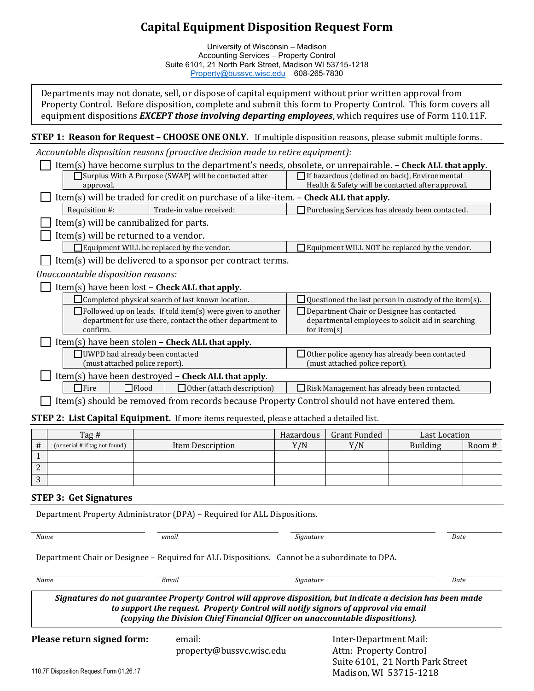## **Capital Equipment Disposition Request Form**

University of Wisconsin – Madison Accounting Services – Property Control Suite 6101, 21 North Park Street, Madison WI 53715-1218 [Property@bussvc.wisc.edu](mailto:Property@bussvc.wisc.edu) 608-265-7830

Departments may not donate, sell, or dispose of capital equipment without prior written approval from Property Control. Before disposition, complete and submit this form to Property Control. This form covers all equipment dispositions *EXCEPT those involving departing employees*, which requires use of Form 110.11F.

**STEP 1: Reason for Request - CHOOSE ONE ONLY.** If multiple disposition reasons, please submit multiple forms.

*Accountable disposition reasons (proactive decision made to retire equipment):*

|                |                                                                                                          | Item(s) have become surplus to the department's needs, obsolete, or unrepairable. - Check ALL that apply. |           |                                                                      |                                                                                                    |        |
|----------------|----------------------------------------------------------------------------------------------------------|-----------------------------------------------------------------------------------------------------------|-----------|----------------------------------------------------------------------|----------------------------------------------------------------------------------------------------|--------|
|                | Surplus With A Purpose (SWAP) will be contacted after<br>approval.                                       |                                                                                                           |           |                                                                      | If hazardous (defined on back), Environmental<br>Health & Safety will be contacted after approval. |        |
|                | Item(s) will be traded for credit on purchase of a like-item. - Check ALL that apply.                    |                                                                                                           |           |                                                                      |                                                                                                    |        |
|                | Requisition #:                                                                                           | Trade-in value received:                                                                                  |           | Purchasing Services has already been contacted.                      |                                                                                                    |        |
|                | Item(s) will be cannibalized for parts.                                                                  |                                                                                                           |           |                                                                      |                                                                                                    |        |
|                | Item(s) will be returned to a vendor.                                                                    |                                                                                                           |           |                                                                      |                                                                                                    |        |
|                |                                                                                                          | $\Box$ Equipment WILL be replaced by the vendor.                                                          |           |                                                                      | $\Box$ Equipment WILL NOT be replaced by the vendor.                                               |        |
|                |                                                                                                          | Item(s) will be delivered to a sponsor per contract terms.                                                |           |                                                                      |                                                                                                    |        |
|                | Unaccountable disposition reasons:                                                                       |                                                                                                           |           |                                                                      |                                                                                                    |        |
|                |                                                                                                          | Item(s) have been lost - Check ALL that apply.                                                            |           |                                                                      |                                                                                                    |        |
|                | Completed physical search of last known location.                                                        |                                                                                                           |           | $\Box$ Questioned the last person in custody of the item(s).         |                                                                                                    |        |
|                | $\Box$ Followed up on leads. If told item(s) were given to another                                       |                                                                                                           |           | Department Chair or Designee has contacted                           |                                                                                                    |        |
|                | department for use there, contact the other department to<br>confirm.                                    |                                                                                                           |           | departmental employees to solicit aid in searching<br>for item $(s)$ |                                                                                                    |        |
|                |                                                                                                          | $Item(s)$ have been stolen $-$ Check ALL that apply.                                                      |           |                                                                      |                                                                                                    |        |
|                | UWPD had already been contacted                                                                          |                                                                                                           |           | $\Box$ Other police agency has already been contacted                |                                                                                                    |        |
|                | (must attached police report).                                                                           |                                                                                                           |           | (must attached police report).                                       |                                                                                                    |        |
|                |                                                                                                          | Item(s) have been destroyed - Check ALL that apply.                                                       |           |                                                                      |                                                                                                    |        |
|                | $\Box$ Fire<br>$\Box$ Flood<br>Other (attach description)<br>Risk Management has already been contacted. |                                                                                                           |           |                                                                      |                                                                                                    |        |
|                |                                                                                                          | Item(s) should be removed from records because Property Control should not have entered them.             |           |                                                                      |                                                                                                    |        |
|                |                                                                                                          | <b>STEP 2: List Capital Equipment.</b> If more items requested, please attached a detailed list.          |           |                                                                      |                                                                                                    |        |
|                | Tag#                                                                                                     |                                                                                                           | Hazardous | <b>Grant Funded</b>                                                  | <b>Last Location</b>                                                                               |        |
| #              | (or serial # if tag not found)                                                                           | <b>Item Description</b>                                                                                   | Y/N       | Y/N                                                                  | <b>Building</b>                                                                                    | Room # |
| $\mathbf{1}$   |                                                                                                          |                                                                                                           |           |                                                                      |                                                                                                    |        |
| $\overline{c}$ |                                                                                                          |                                                                                                           |           |                                                                      |                                                                                                    |        |
| 3              |                                                                                                          |                                                                                                           |           |                                                                      |                                                                                                    |        |

#### **STEP 3: Get Signatures**

| Department Property Administrator (DPA) – Required for ALL Dispositions. |  |  |
|--------------------------------------------------------------------------|--|--|
|                                                                          |  |  |

| Name                       | email                                                                                                                                                               | Signature                                                                                                    | Date |
|----------------------------|---------------------------------------------------------------------------------------------------------------------------------------------------------------------|--------------------------------------------------------------------------------------------------------------|------|
|                            | Department Chair or Designee - Required for ALL Dispositions. Cannot be a subordinate to DPA.                                                                       |                                                                                                              |      |
| Name                       | Email                                                                                                                                                               | Signature                                                                                                    | Date |
|                            | to support the request. Property Control will notify signors of approval via email<br>(copying the Division Chief Financial Officer on unaccountable dispositions). | Signatures do not guarantee Property Control will approve disposition, but indicate a decision has been made |      |
| Please return signed form: | email:                                                                                                                                                              | Inter-Department Mail:                                                                                       |      |

Suite 6101, 21 North Park Street

Madison, WI 53715-1218